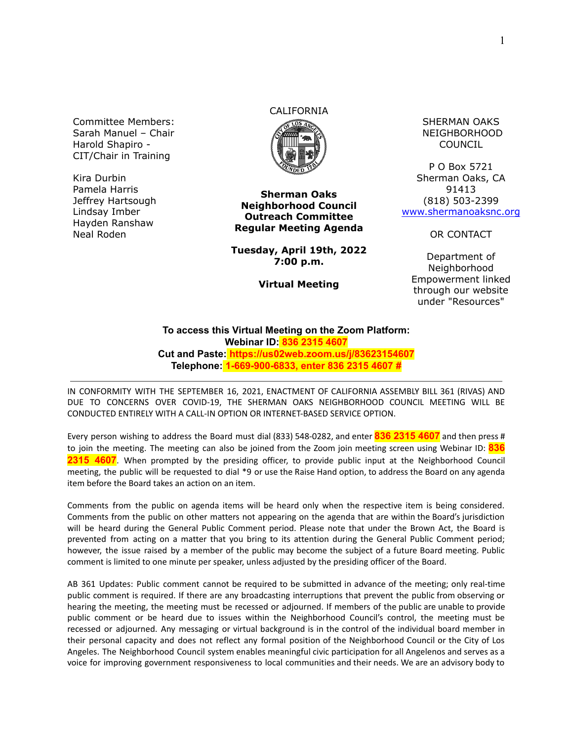Committee Members: Sarah Manuel – Chair Harold Shapiro - CIT/Chair in Training

Kira Durbin Pamela Harris Jeffrey Hartsough Lindsay Imber Hayden Ranshaw Neal Roden

## CALIFORNIA



**Sherman Oaks Neighborhood Council Outreach Committee Regular Meeting Agenda**

**Tuesday, April 19th, 2022 7:00 p.m.**

**Virtual Meeting**

SHERMAN OAKS NEIGHBORHOOD COUNCIL

P O Box 5721 Sherman Oaks, CA 91413 (818) 503-2399 [www.shermanoaksnc.org](http://www.shermanoaksnc.org/)

OR CONTACT

Department of Neighborhood Empowerment linked through our website under "Resources"

## **To access this Virtual Meeting on the Zoom Platform: Webinar ID: 836 2315 4607 Cut and Paste: https://us02web.zoom.us/j/83623154607 Telephone: 1-669-900-6833, enter 836 2315 4607 #**

IN CONFORMITY WITH THE SEPTEMBER 16, 2021, ENACTMENT OF CALIFORNIA ASSEMBLY BILL 361 (RIVAS) AND DUE TO CONCERNS OVER COVID-19, THE SHERMAN OAKS NEIGHBORHOOD COUNCIL MEETING WILL BE CONDUCTED ENTIRELY WITH A CALL-IN OPTION OR INTERNET-BASED SERVICE OPTION.

Every person wishing to address the Board must dial (833) 548-0282, and enter **836 2315 4607** and then press # to join the meeting. The meeting can also be joined from the Zoom join meeting screen using Webinar ID: **836 2315 4607**. When prompted by the presiding officer, to provide public input at the Neighborhood Council meeting, the public will be requested to dial \*9 or use the Raise Hand option, to address the Board on any agenda item before the Board takes an action on an item.

Comments from the public on agenda items will be heard only when the respective item is being considered. Comments from the public on other matters not appearing on the agenda that are within the Board's jurisdiction will be heard during the General Public Comment period. Please note that under the Brown Act, the Board is prevented from acting on a matter that you bring to its attention during the General Public Comment period; however, the issue raised by a member of the public may become the subject of a future Board meeting. Public comment is limited to one minute per speaker, unless adjusted by the presiding officer of the Board.

AB 361 Updates: Public comment cannot be required to be submitted in advance of the meeting; only real-time public comment is required. If there are any broadcasting interruptions that prevent the public from observing or hearing the meeting, the meeting must be recessed or adjourned. If members of the public are unable to provide public comment or be heard due to issues within the Neighborhood Council's control, the meeting must be recessed or adjourned. Any messaging or virtual background is in the control of the individual board member in their personal capacity and does not reflect any formal position of the Neighborhood Council or the City of Los Angeles. The Neighborhood Council system enables meaningful civic participation for all Angelenos and serves as a voice for improving government responsiveness to local communities and their needs. We are an advisory body to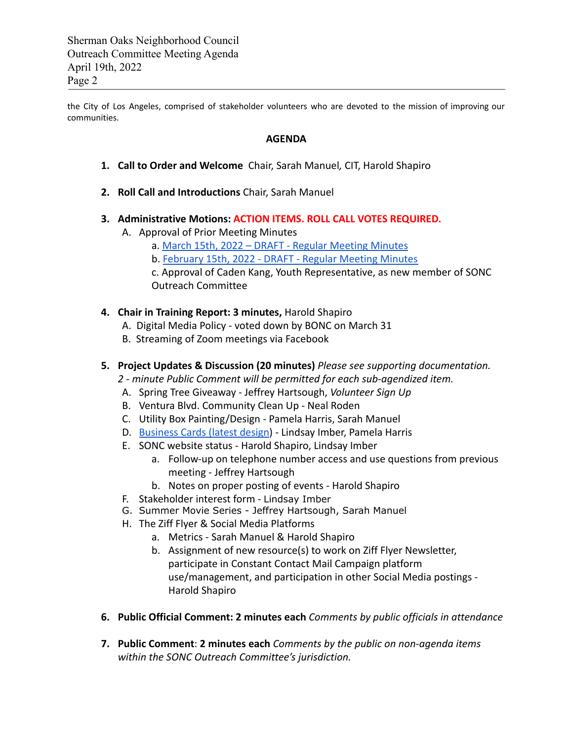Sherman Oaks Neighborhood Council Outreach Committee Meeting Agenda April 19th, 2022 Page 2

the City of Los Angeles, comprised of stakeholder volunteers who are devoted to the mission of improving our communities.

## **AGENDA**

- **1. Call to Order and Welcome** Chair, Sarah Manuel*,* CIT, Harold Shapiro
- **2. Roll Call and Introductions** Chair, Sarah Manuel
- **3. Administrative Motions: ACTION ITEMS. ROLL CALL VOTES REQUIRED.**
	- A. Approval of Prior Meeting Minutes
		- a. [March 15th, 2022 DRAFT Regular Meeting Minutes](https://www.shermanoaksnc.org/assets/documents/7/meeting6248d70a9192c.pdf)
		- b. [February 15th, 2022 DRAFT Regular Meeting Minutes](https://www.shermanoaksnc.org/assets/documents/7/meeting6255136dd036f.pdf)
		- c. Approval of Caden Kang, Youth Representative, as new member of SONC Outreach Committee
- **4. Chair in Training Report: 3 minutes,** Harold Shapiro
	- A. Digital Media Policy voted down by BONC on March 31
	- B. Streaming of Zoom meetings via Facebook
- **5. Project Updates & Discussion (20 minutes)** *Please see supporting documentation.*
	- *2 minute Public Comment will be permitted for each sub-agendized item.*
	- A. Spring Tree Giveaway Jeffrey Hartsough, *Volunteer Sign Up*
	- B. Ventura Blvd. Community Clean Up Neal Roden
	- C. Utility Box Painting/Design Pamela Harris, Sarah Manuel
	- D. [Business Cards \(latest design\)](https://www.shermanoaksnc.org/assets/documents/7/meeting625513de87764.jpg) Lindsay Imber, Pamela Harris
	- E. SONC website status Harold Shapiro, Lindsay Imber
		- a. Follow-up on telephone number access and use questions from previous meeting - Jeffrey Hartsough
		- b. Notes on proper posting of events Harold Shapiro
	- F. Stakeholder interest form Lindsay Imber
	- G. Summer Movie Series Jeffrey Hartsough, Sarah Manuel
	- H. The Ziff Flyer & Social Media Platforms
		- a. Metrics Sarah Manuel & Harold Shapiro
		- b. Assignment of new resource(s) to work on Ziff Flyer Newsletter, participate in Constant Contact Mail Campaign platform use/management, and participation in other Social Media postings - Harold Shapiro
- **6. Public Official Comment: 2 minutes each** *Comments by public officials in attendance*
- **7. Public Comment**: **2 minutes each** *Comments by the public on non-agenda items within the SONC Outreach Committee's jurisdiction.*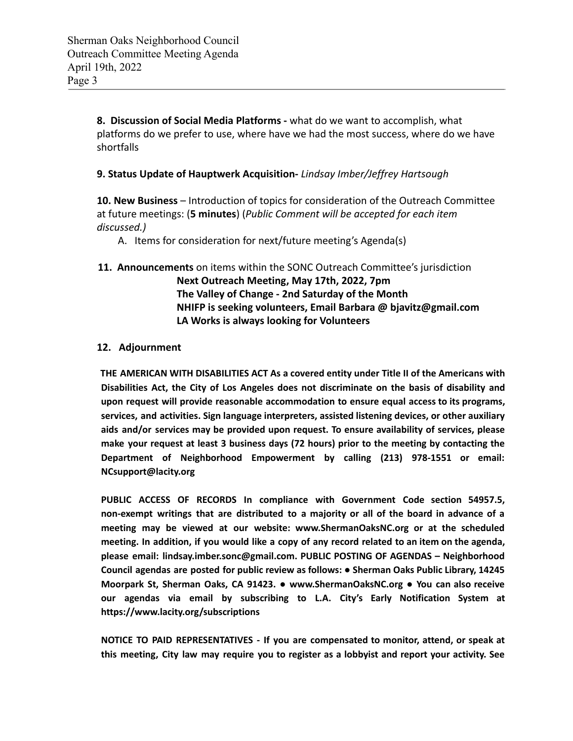**8. Discussion of Social Media Platforms -** what do we want to accomplish, what platforms do we prefer to use, where have we had the most success, where do we have shortfalls

**9. Status Update of Hauptwerk Acquisition-** *Lindsay Imber/Jeffrey Hartsough*

**10. New Business** – Introduction of topics for consideration of the Outreach Committee at future meetings: (**5 minutes**) (*Public Comment will be accepted for each item discussed.)*

A. Items for consideration for next/future meeting's Agenda(s)

**11. Announcements** on items within the SONC Outreach Committee's jurisdiction **Next Outreach Meeting, May 17th, 2022, 7pm The Valley of Change - 2nd Saturday of the Month NHIFP is seeking volunteers, Email Barbara @ bjavitz@gmail.com LA Works is always looking for Volunteers**

## **12. Adjournment**

**THE AMERICAN WITH DISABILITIES ACT As a covered entity under Title II of the Americans with Disabilities Act, the City of Los Angeles does not discriminate on the basis of disability and upon request will provide reasonable accommodation to ensure equal access to its programs, services, and activities. Sign language interpreters, assisted listening devices, or other auxiliary aids and/or services may be provided upon request. To ensure availability of services, please make your request at least 3 business days (72 hours) prior to the meeting by contacting the Department of Neighborhood Empowerment by calling (213) 978-1551 or email: NCsupport@lacity.org**

**PUBLIC ACCESS OF RECORDS In compliance with Government Code section 54957.5, non-exempt writings that are distributed to a majority or all of the board in advance of a meeting may be viewed at our website: www.ShermanOaksNC.org or at the scheduled** meeting. In addition, if you would like a copy of any record related to an item on the agenda, **please email: lindsay.imber.sonc@gmail.com. PUBLIC POSTING OF AGENDAS – Neighborhood Council agendas are posted for public review as follows: ● Sherman Oaks Public Library, 14245 Moorpark St, Sherman Oaks, CA 91423. ● www.ShermanOaksNC.org ● You can also receive our agendas via email by subscribing to L.A. City's Early Notification System at https://www.lacity.org/subscriptions**

**NOTICE TO PAID REPRESENTATIVES - If you are compensated to monitor, attend, or speak at this meeting, City law may require you to register as a lobbyist and report your activity. See**